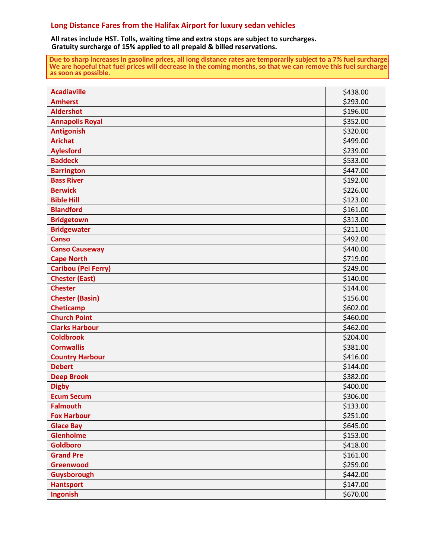## **Long Distance Fares from the Halifax Airport for luxury sedan vehicles**

**All rates include HST. Tolls, waiting time and extra stops are subject to surcharges. Gratuity surcharge of 15% applied to all prepaid & billed reservations.**

**Due to sharp increases in gasoline prices, all long distance rates are temporarily subject to a 7% fuel surcharge. We are hopeful that fuel prices will decrease in the coming months, so that we can remove this fuel surcharge as soon as possible.**

| <b>Acadiaville</b>         | \$438.00 |
|----------------------------|----------|
| <b>Amherst</b>             | \$293.00 |
| <b>Aldershot</b>           | \$196.00 |
| <b>Annapolis Royal</b>     | \$352.00 |
| <b>Antigonish</b>          | \$320.00 |
| <b>Arichat</b>             | \$499.00 |
| <b>Aylesford</b>           | \$239.00 |
| <b>Baddeck</b>             | \$533.00 |
| <b>Barrington</b>          | \$447.00 |
| <b>Bass River</b>          | \$192.00 |
| <b>Berwick</b>             | \$226.00 |
| <b>Bible Hill</b>          | \$123.00 |
| <b>Blandford</b>           | \$161.00 |
| <b>Bridgetown</b>          | \$313.00 |
| <b>Bridgewater</b>         | \$211.00 |
| <b>Canso</b>               | \$492.00 |
| <b>Canso Causeway</b>      | \$440.00 |
| <b>Cape North</b>          | \$719.00 |
| <b>Caribou (Pei Ferry)</b> | \$249.00 |
| <b>Chester (East)</b>      | \$140.00 |
| <b>Chester</b>             | \$144.00 |
| <b>Chester (Basin)</b>     | \$156.00 |
| <b>Cheticamp</b>           | \$602.00 |
| <b>Church Point</b>        | \$460.00 |
| <b>Clarks Harbour</b>      | \$462.00 |
| <b>Coldbrook</b>           | \$204.00 |
| <b>Cornwallis</b>          | \$381.00 |
| <b>Country Harbour</b>     | \$416.00 |
| <b>Debert</b>              | \$144.00 |
| <b>Deep Brook</b>          | \$382.00 |
| <b>Digby</b>               | \$400.00 |
| <b>Ecum Secum</b>          | \$306.00 |
| <b>Falmouth</b>            | \$133.00 |
| <b>Fox Harbour</b>         | \$251.00 |
| <b>Glace Bay</b>           | \$645.00 |
| <b>Glenholme</b>           | \$153.00 |
| <b>Goldboro</b>            | \$418.00 |
| <b>Grand Pre</b>           | \$161.00 |
| <b>Greenwood</b>           | \$259.00 |
| Guysborough                | \$442.00 |
| <b>Hantsport</b>           | \$147.00 |
| Ingonish                   | \$670.00 |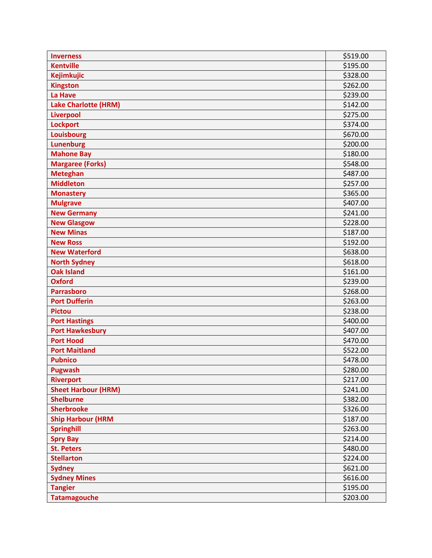| <b>Inverness</b>            | \$519.00 |
|-----------------------------|----------|
| <b>Kentville</b>            | \$195.00 |
| <b>Kejimkujic</b>           | \$328.00 |
| <b>Kingston</b>             | \$262.00 |
| <b>La Have</b>              | \$239.00 |
| <b>Lake Charlotte (HRM)</b> | \$142.00 |
| <b>Liverpool</b>            | \$275.00 |
| <b>Lockport</b>             | \$374.00 |
| <b>Louisbourg</b>           | \$670.00 |
| <b>Lunenburg</b>            | \$200.00 |
| <b>Mahone Bay</b>           | \$180.00 |
| <b>Margaree (Forks)</b>     | \$548.00 |
| <b>Meteghan</b>             | \$487.00 |
| <b>Middleton</b>            | \$257.00 |
| <b>Monastery</b>            | \$365.00 |
| <b>Mulgrave</b>             | \$407.00 |
| <b>New Germany</b>          | \$241.00 |
| <b>New Glasgow</b>          | \$228.00 |
| <b>New Minas</b>            | \$187.00 |
| <b>New Ross</b>             | \$192.00 |
| <b>New Waterford</b>        | \$638.00 |
| <b>North Sydney</b>         | \$618.00 |
| <b>Oak Island</b>           | \$161.00 |
| <b>Oxford</b>               | \$239.00 |
| <b>Parrasboro</b>           | \$268.00 |
| <b>Port Dufferin</b>        | \$263.00 |
| <b>Pictou</b>               | \$238.00 |
| <b>Port Hastings</b>        | \$400.00 |
| <b>Port Hawkesbury</b>      | \$407.00 |
| <b>Port Hood</b>            | \$470.00 |
| <b>Port Maitland</b>        | \$522.00 |
| <b>Pubnico</b>              | \$478.00 |
| <b>Pugwash</b>              | \$280.00 |
| <b>Riverport</b>            | \$217.00 |
| <b>Sheet Harbour (HRM)</b>  | \$241.00 |
| <b>Shelburne</b>            | \$382.00 |
| <b>Sherbrooke</b>           | \$326.00 |
| <b>Ship Harbour (HRM</b>    | \$187.00 |
| <b>Springhill</b>           | \$263.00 |
| <b>Spry Bay</b>             | \$214.00 |
| <b>St. Peters</b>           | \$480.00 |
| <b>Stellarton</b>           | \$224.00 |
| <b>Sydney</b>               | \$621.00 |
| <b>Sydney Mines</b>         | \$616.00 |
| <b>Tangier</b>              | \$195.00 |
| <b>Tatamagouche</b>         | \$203.00 |